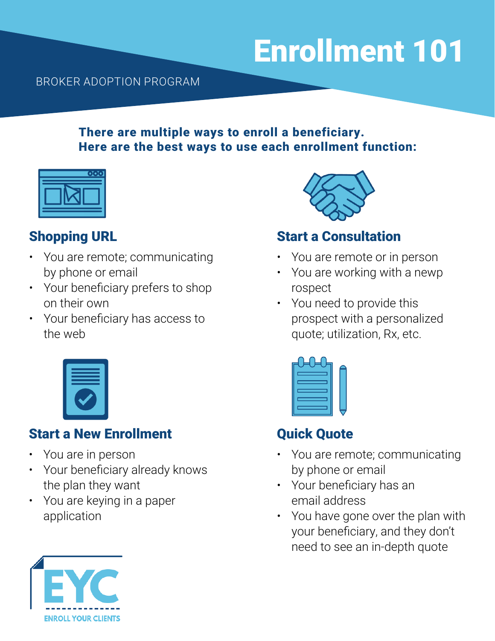# Enrollment 101

#### BROKER ADOPTION PROGRAM

#### There are multiple ways to enroll a beneficiary. Here are the best ways to use each enrollment function:

| ٢.<br><b>. T</b> |
|------------------|
|                  |
|                  |

### Shopping URL

- You are remote; communicating by phone or email
- Your beneficiary prefers to shop on their own
- Your beneficiary has access to the web



### Start a New Enrollment

- You are in person
- Your beneficiary already knows the plan they want
- You are keying in a paper application



### Start a Consultation

- You are remote or in person
- You are working with a newp rospect
- You need to provide this prospect with a personalized quote; utilization, Rx, etc.

## Quick Quote

- You are remote; communicating by phone or email
- Your beneficiary has an email address
- You have gone over the plan with your beneficiary, and they don't need to see an in-depth quote

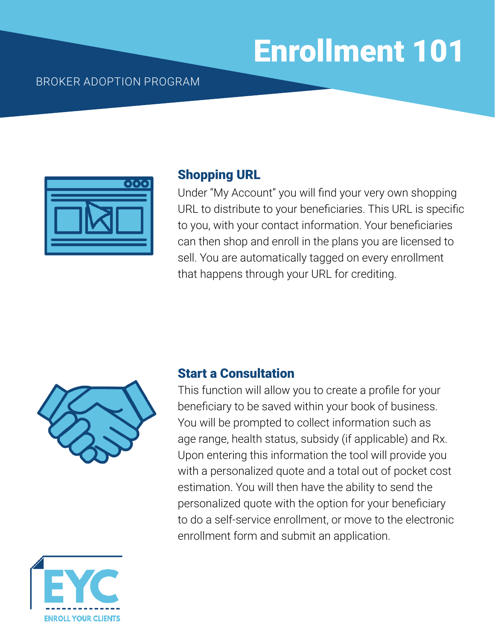# Enrollment 101

#### BROKER ADOPTION PROGRAM



#### Shopping URL

Under "My Account" you will find your very own shopping URL to distribute to your beneficiaries. This URL is specific to you, with your contact information. Your beneficiaries can then shop and enroll in the plans you are licensed to sell. You are automatically tagged on every enrollment that happens through your URL for crediting.



#### Start a Consultation

This function will allow you to create a profile for your beneficiary to be saved within your book of business. You will be prompted to collect information such as age range, health status, subsidy (if applicable) and Rx. Upon entering this information the tool will provide you with a personalized quote and a total out of pocket cost estimation. You will then have the ability to send the personalized quote with the option for your beneficiary to do a self-service enrollment, or move to the electronic enrollment form and submit an application.